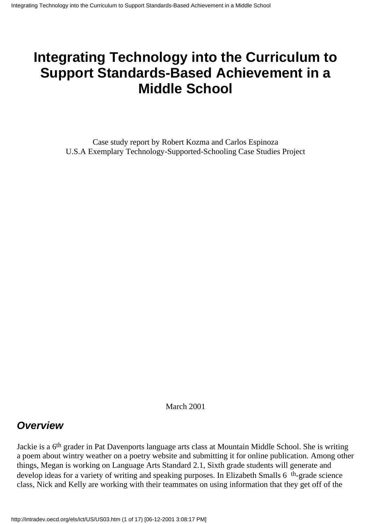# **Integrating Technology into the Curriculum to Support Standards-Based Achievement in a Middle School**

Case study report by Robert Kozma and Carlos Espinoza U.S.A Exemplary Technology-Supported-Schooling Case Studies Project

March 2001

### *Overview*

Jackie is a 6<sup>th</sup> grader in Pat Davenport s language arts class at Mountain Middle School. She is writing a poem about wintry weather on a poetry website and submitting it for online publication. Among other things, Megan is working on Language Arts Standard 2.1, Sixth grade students will generate and develop ideas for a variety of writing and speaking purposes. In Elizabeth Small s 6<sup>th</sup>-grade science class, Nick and Kelly are working with their teammates on using information that they get off of the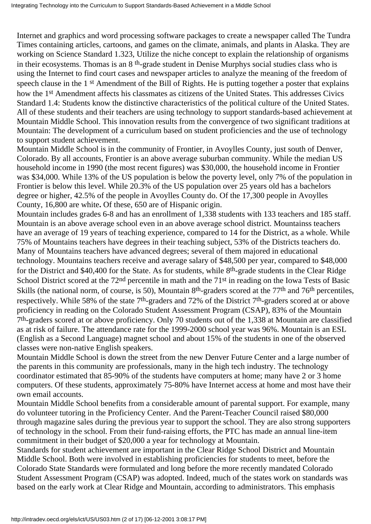Internet and graphics and word processing software packages to create a newspaper called The Tundra Times containing articles, cartoons, and games on the climate, animals, and plants in Alaska. They are working on Science Standard 1.323, Utilize the niche concept to explain the relationship of organisms in their ecosystems. Thomas is an 8<sup>th</sup>-grade student in Denise Murphy s social studies class who is using the Internet to find court cases and newspaper articles to analyze the meaning of the freedom of speech clause in the 1st Amendment of the Bill of Rights. He is putting together a poster that explains how the 1st Amendment affects his classmates as citizens of the United States. This addresses Civics Standard 1.4: Students know the distinctive characteristics of the political culture of the United States. All of these students and their teachers are using technology to support standards-based achievement at Mountain Middle School. This innovation results from the convergence of two significant traditions at Mountain: The development of a curriculum based on student proficiencies and the use of technology to support student achievement.

Mountain Middle School is in the community of Frontier, in Avoylles County, just south of Denver, Colorado. By all accounts, Frontier is an above average suburban community. While the median US household income in 1990 (the most recent figures) was \$30,000, the household income in Frontier was \$34,000. While 13% of the US population is below the poverty level, only 7% of the population in Frontier is below this level. While 20.3% of the US population over 25 years old has a bachelors degree or higher, 42.5% of the people in Avoylles County do. Of the 17,300 people in Avoylles County, 16,800 are white**.** Of these, 650 are of Hispanic origin.

Mountain includes grades 6-8 and has an enrollment of 1,338 students with 133 teachers and 185 staff. Mountain is an above average school even in an above average school district. Mountain s s teachers have an average of 19 years of teaching experience, compared to 14 for the District, as a whole. While 75% of Mountain s teachers have degrees in their teaching subject, 53% of the District s teachers do. Many of Mountain s teachers have advanced degrees; several of them majored in educational technology. Mountain s teachers receive and average salary of \$48,500 per year, compared to \$48,000 for the District and \$40,400 for the State. As for students, while 8th-grade students in the Clear Ridge School District scored at the 72<sup>nd</sup> percentile in math and the 71<sup>st</sup> in reading on the Iowa Tests of Basic Skills (the national norm, of course, is 50), Mountain 8<sup>th</sup>-graders scored at the 77<sup>th</sup> and 76<sup>th</sup> percentiles, respectively. While 58% of the state 7th-graders and 72% of the District 7th-graders scored at or above proficiency in reading on the Colorado Student Assessment Program (CSAP), 83% of the Mountain 7th-graders scored at or above proficiency. Only 70 students out of the 1,338 at Mountain are classified as at risk of failure. The attendance rate for the 1999-2000 school year was 96%. Mountain is an ESL (English as a Second Language) magnet school and about 15% of the students in one of the observed classes were non-native English speakers.

Mountain Middle School is down the street from the new Denver Future Center and a large number of the parents in this community are professionals, many in the high tech industry. The technology coordinator estimated that 85-90% of the students have computers at home; many have 2 or 3 home computers. Of these students, approximately 75-80% have Internet access at home and most have their own email accounts.

Mountain Middle School benefits from a considerable amount of parental support. For example, many do volunteer tutoring in the Proficiency Center. And the Parent-Teacher Council raised \$80,000 through magazine sales during the previous year to support the school. They are also strong supporters of technology in the school. From their fund-raising efforts, the PTC has made an annual line-item commitment in their budget of \$20,000 a year for technology at Mountain.

Standards for student achievement are important in the Clear Ridge School District and Mountain Middle School. Both were involved in establishing proficiencies for students to meet, before the Colorado State Standards were formulated and long before the more recently mandated Colorado Student Assessment Program (CSAP) was adopted. Indeed, much of the state s work on standards was based on the early work at Clear Ridge and Mountain, according to administrators. This emphasis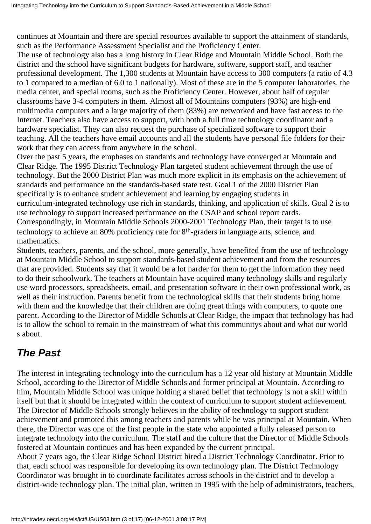continues at Mountain and there are special resources available to support the attainment of standards, such as the Performance Assessment Specialist and the Proficiency Center.

The use of technology also has a long history in Clear Ridge and Mountain Middle School. Both the district and the school have significant budgets for hardware, software, support staff, and teacher professional development. The 1,300 students at Mountain have access to 300 computers (a ratio of 4.3 to 1 compared to a median of 6.0 to 1 nationally). Most of these are in the 5 computer laboratories, the media center, and special rooms, such as the Proficiency Center. However, about half of regular classrooms have 3-4 computers in them. Almost all of Mountains computers (93%) are high-end multimedia computers and a large majority of them (83%) are networked and have fast access to the Internet. Teachers also have access to support, with both a full time technology coordinator and a hardware specialist. They can also request the purchase of specialized software to support their teaching. All the teachers have email accounts and all the students have personal file folders for their work that they can access from anywhere in the school.

Over the past 5 years, the emphases on standards and technology have converged at Mountain and Clear Ridge. The 1995 District Technology Plan targeted student achievement through the use of technology. But the 2000 District Plan was much more explicit in its emphasis on the achievement of standards and performance on the standards-based state test. Goal 1 of the 2000 District Plan specifically is to enhance student achievement and learning by engaging students in curriculum-integrated technology use rich in standards, thinking, and application of skills. Goal 2 is to use technology to support increased performance on the CSAP and school report cards. Correspondingly, in Mountain Middle School s 2000-2001 Technology Plan, their target is to use technology to achieve an 80% proficiency rate for 8th-graders in language arts, science, and mathematics.

Students, teachers, parents, and the school, more generally, have benefited from the use of technology at Mountain Middle School to support standards-based student achievement and from the resources that are provided. Students say that it would be a lot harder for them to get the information they need to do their schoolwork. The teachers at Mountain have acquired many technology skills and regularly use word processors, spreadsheets, email, and presentation software in their own professional work, as well as their instruction. Parents benefit from the technological skills that their students bring home with them and the knowledge that their children are doing great things with computers, to quote one parent. According to the Director of Middle Schools at Clear Ridge, the impact that technology has had is to allow the school to remain in the mainstream of what this community s about and what our world s about.

## *The Past*

The interest in integrating technology into the curriculum has a 12 year old history at Mountain Middle School, according to the Director of Middle Schools and former principal at Mountain. According to him, Mountain Middle School was unique holding a shared belief that technology is not a skill within itself but that it should be integrated within the context of curriculum to support student achievement. The Director of Middle Schools strongly believes in the ability of technology to support student achievement and promoted this among teachers and parents while he was principal at Mountain. When there, the Director was one of the first people in the state who appointed a fully released person to integrate technology into the curriculum. The staff and the culture that the Director of Middle Schools fostered at Mountain continues and has been expanded by the current principal.

About 7 years ago, the Clear Ridge School District hired a District Technology Coordinator. Prior to that, each school was responsible for developing its own technology plan. The District Technology Coordinator was brought in to coordinate facilitates across schools in the district and to develop a district-wide technology plan. The initial plan, written in 1995 with the help of administrators, teachers,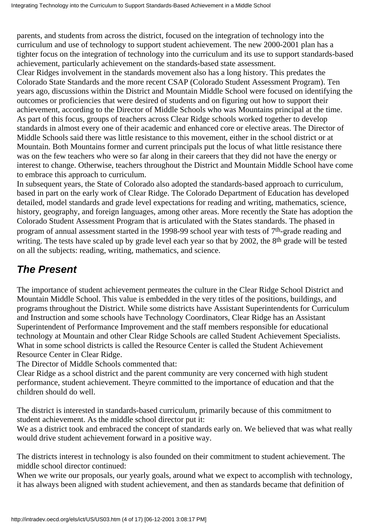parents, and students from across the district, focused on the integration of technology into the curriculum and use of technology to support student achievement. The new 2000-2001 plan has a tighter focus on the integration of technology into the curriculum and its use to support standards-based achievement, particularly achievement on the standards-based state assessment.

Clear Ridge s involvement in the standards movement also has a long history. This predates the Colorado State Standards and the more recent CSAP (Colorado Student Assessment Program). Ten years ago, discussions within the District and Mountain Middle School were focused on identifying the outcomes or proficiencies that were desired of students and on figuring out how to support their achievement, according to the Director of Middle Schools who was Mountain s principal at the time. As part of this focus, groups of teachers across Clear Ridge schools worked together to develop standards in almost every one of their academic and enhanced core or elective areas. The Director of Middle Schools said there was little resistance to this movement, either in the school district or at Mountain. Both Mountain s former and current principals put the locus of what little resistance there was on the few teachers who were so far along in their careers that they did not have the energy or interest to change. Otherwise, teachers throughout the District and Mountain Middle School have come to embrace this approach to curriculum.

In subsequent years, the State of Colorado also adopted the standards-based approach to curriculum, based in part on the early work of Clear Ridge. The Colorado Department of Education has developed detailed, model standards and grade level expectations for reading and writing, mathematics, science, history, geography, and foreign languages, among other areas. More recently the State has adoption the Colorado Student Assessment Program that is articulated with the States standards. The phased in program of annual assessment started in the 1998-99 school year with tests of 7th-grade reading and writing. The tests have scaled up by grade level each year so that by 2002, the 8<sup>th</sup> grade will be tested on all the subjects: reading, writing, mathematics, and science.

## *The Present*

The importance of student achievement permeates the culture in the Clear Ridge School District and Mountain Middle School. This value is embedded in the very titles of the positions, buildings, and programs throughout the District. While some districts have Assistant Superintendents for Curriculum and Instruction and some schools have Technology Coordinators, Clear Ridge has an Assistant Superintendent of Performance Improvement and the staff members responsible for educational technology at Mountain and other Clear Ridge Schools are called Student Achievement Specialists. What in some school districts is called the Resource Center is called the Student Achievement Resource Center in Clear Ridge.

The Director of Middle Schools commented that:

Clear Ridge as a school district and the parent community are very concerned with high student performance, student achievement. Theyre committed to the importance of education and that the children should do well.

The district is interested in standards-based curriculum, primarily because of this commitment to student achievement. As the middle school director put it:

We as a district took and embraced the concept of standards early on. We believed that was what really would drive student achievement forward in a positive way.

The district s interest in technology is also founded on their commitment to student achievement. The middle school director continued:

When we write our proposals, our yearly goals, around what we expect to accomplish with technology, it has always been aligned with student achievement, and then as standards became that definition of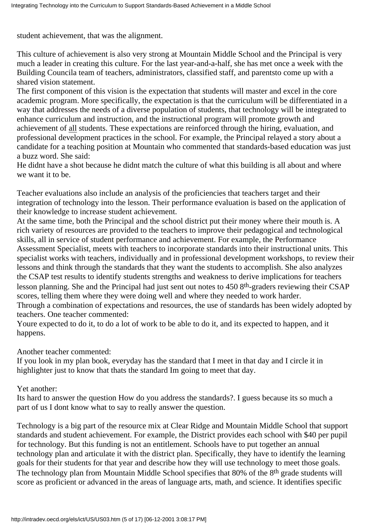student achievement, that was the alignment.

This culture of achievement is also very strong at Mountain Middle School and the Principal is very much a leader in creating this culture. For the last year-and-a-half, she has met once a week with the Building Council a team of teachers, administrators, classified staff, and parents to come up with a shared vision statement.

The first component of this vision is the expectation that students will master and excel in the core academic program. More specifically, the expectation is that the curriculum will be differentiated in a way that addresses the needs of a diverse population of students, that technology will be integrated to enhance curriculum and instruction, and the instructional program will promote growth and achievement of all students. These expectations are reinforced through the hiring, evaluation, and professional development practices in the school. For example, the Principal relayed a story about a candidate for a teaching position at Mountain who commented that standards-based education was just a buzz word. She said:

He didn t have a shot because he didn t match the culture of what this building is all about and where we want it to be.

Teacher evaluations also include an analysis of the proficiencies that teachers target and their integration of technology into the lesson. Their performance evaluation is based on the application of their knowledge to increase student achievement.

At the same time, both the Principal and the school district put their money where their mouth is. A rich variety of resources are provided to the teachers to improve their pedagogical and technological skills, all in service of student performance and achievement. For example, the Performance Assessment Specialist, meets with teachers to incorporate standards into their instructional units. This specialist works with teachers, individually and in professional development workshops, to review their lessons and think through the standards that they want the students to accomplish. She also analyzes the CSAP test results to identify students strengths and weakness to derive implications for teachers lesson planning. She and the Principal had just sent out notes to 450 8th-graders reviewing their CSAP scores, telling them where they were doing well and where they needed to work harder. Through a combination of expectations and resources, the use of standards has been widely adopted by

teachers. One teacher commented:

You re expected to do it, to do a lot of work to be able to do it, and it s expected to happen, and it happens.

Another teacher commented:

If you look in my plan book, everyday has the standard that I meet in that day and I circle it in highlighter just to know that that s the standard I m going to meet that day.

Yet another:

It s hard to answer the question How do you address the standards? I guess because it s so much a part of us I don t know what to say to really answer the question.

Technology is a big part of the resource mix at Clear Ridge and Mountain Middle School that support standards and student achievement. For example, the District provides each school with \$40 per pupil for technology. But this funding is not an entitlement. Schools have to put together an annual technology plan and articulate it with the district plan. Specifically, they have to identify the learning goals for their students for that year and describe how they will use technology to meet those goals. The technology plan from Mountain Middle School specifies that 80% of the 8<sup>th</sup> grade students will score as proficient or advanced in the areas of language arts, math, and science. It identifies specific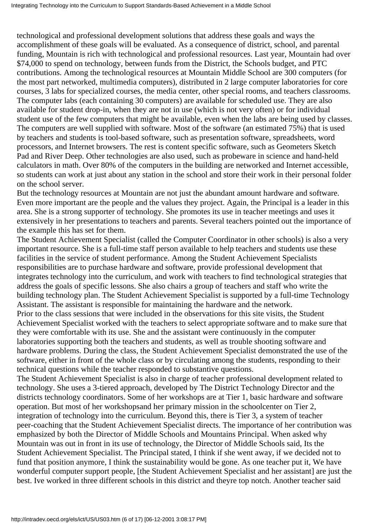technological and professional development solutions that address these goals and ways the accomplishment of these goals will be evaluated. As a consequence of district, school, and parental funding, Mountain is rich with technological and professional resources. Last year, Mountain had over \$74,000 to spend on technology, between funds from the District, the School s budget, and PTC contributions. Among the technological resources at Mountain Middle School are 300 computers (for the most part networked, multimedia computers), distributed in 2 large computer laboratories for core courses, 3 labs for specialized courses, the media center, other special rooms, and teachers classrooms. The computer labs (each containing 30 computers) are available for scheduled use. They are also available for student drop-in, when they are not in use (which is not very often) or for individual student use of the few computers that might be available, even when the labs are being used by classes. The computers are well supplied with software. Most of the software (an estimated 75%) that is used by teachers and students is tool-based software, such as presentation software, spreadsheets, word processors, and Internet browsers. The rest is content specific software, such as Geometers Sketch Pad and River Deep. Other technologies are also used, such as probeware in science and hand-held calculators in math. Over 80% of the computers in the building are networked and Internet accessible, so students can work at just about any station in the school and store their work in their personal folder on the school server.

But the technology resources at Mountain are not just the abundant amount hardware and software. Even more important are the people and the values they project. Again, the Principal is a leader in this area. She is a strong supporter of technology. She promotes its use in teacher meetings and uses it extensively in her presentations to teachers and parents. Several teachers pointed out the importance of the example this has set for them.

The Student Achievement Specialist (called the Computer Coordinator in other schools) is also a very important resource. She is a full-time staff person available to help teachers and students use these facilities in the service of student performance. Among the Student Achievement Specialist s responsibilities are to purchase hardware and software, provide professional development that integrates technology into the curriculum, and work with teachers to find technological strategies that address the goals of specific lessons. She also chairs a group of teachers and staff who write the building technology plan. The Student Achievement Specialist is supported by a full-time Technology Assistant. The assistant is responsible for maintaining the hardware and the network. Prior to the class sessions that were included in the observations for this site visits, the Student Achievement Specialist worked with the teachers to select appropriate software and to make sure that they were comfortable with its use. She and the assistant were continuously in the computer

laboratories supporting both the teachers and students, as well as trouble shooting software and hardware problems. During the class, the Student Achievement Specialist demonstrated the use of the software, either in front of the whole class or by circulating among the students, responding to their technical questions while the teacher responded to substantive questions.

The Student Achievement Specialist is also in charge of teacher professional development related to technology. She uses a 3-tiered approach, developed by The District Technology Director and the district s technology coordinators. Some of her workshops are at Tier 1, basic hardware and software operation. But most of her workshops and her primary mission in the school center on Tier 2, integration of technology into the curriculum. Beyond this, there is Tier 3, a system of teacher peer-coaching that the Student Achievement Specialist directs. The importance of her contribution was emphasized by both the Director of Middle Schools and Mountain s Principal. When asked why Mountain was out in front in its use of technology, the Director of Middle Schools said, It s the Student Achievement Specialist. The Principal stated, I think if she went away, if we decided not to fund that position anymore, I think the sustainability would be gone. As one teacher put it, We have wonderful computer support people, [the Student Achievement Specialist and her assistant] are just the best. I ve worked in three different schools in this district and they re top notch. Another teacher said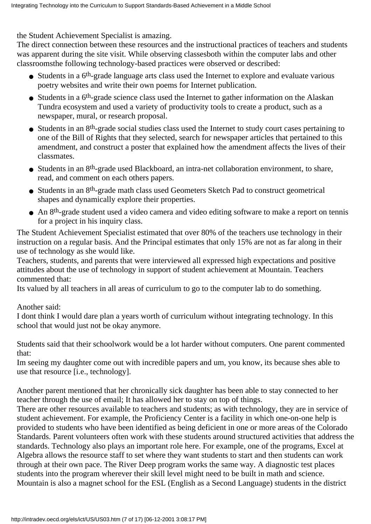the Student Achievement Specialist is amazing.

The direct connection between these resources and the instructional practices of teachers and students was apparent during the site visit. While observing classes both within the computer labs and other classrooms the following technology-based practices were observed or described:

- Students in a 6<sup>th</sup>-grade language arts class used the Internet to explore and evaluate various poetry websites and write their own poems for Internet publication.
- Students in a 6<sup>th</sup>-grade science class used the Internet to gather information on the Alaskan Tundra ecosystem and used a variety of productivity tools to create a product, such as a newspaper, mural, or research proposal.
- Students in an 8<sup>th</sup>-grade social studies class used the Internet to study court cases pertaining to one of the Bill of Rights that they selected, search for newspaper articles that pertained to this amendment, and construct a poster that explained how the amendment affects the lives of their classmates.
- Students in an 8<sup>th</sup>-grade used Blackboard, an intra-net collaboration environment, to share, read, and comment on each other s papers.
- Students in an 8<sup>th</sup>-grade math class used Geometer s Sketch Pad to construct geometrical shapes and dynamically explore their properties.
- An 8<sup>th</sup>-grade student used a video camera and video editing software to make a report on tennis for a project in his inquiry class.

The Student Achievement Specialist estimated that over 80% of the teachers use technology in their instruction on a regular basis. And the Principal estimates that only 15% are not as far along in their use of technology as she would like.

Teachers, students, and parents that were interviewed all expressed high expectations and positive attitudes about the use of technology in support of student achievement at Mountain. Teachers commented that:

It s valued by all teachers in all areas of curriculum to go to the computer lab to do something.

Another said:

I don t think I would dare plan a year s worth of curriculum without integrating technology. In this school that would just not be okay anymore.

Students said that their schoolwork would be a lot harder without computers. One parent commented that:

I m seeing my daughter come out with incredible papers and um, you know, it s because she s able to use that resource [i.e., technology].

Another parent mentioned that her chronically sick daughter has been able to stay connected to her teacher through the use of email; It has allowed her to stay on top of things.

There are other resources available to teachers and students; as with technology, they are in service of student achievement. For example, the Proficiency Center is a facility in which one-on-one help is provided to students who have been identified as being deficient in one or more areas of the Colorado Standards. Parent volunteers often work with these students around structured activities that address the standards. Technology also plays an important role here. For example, one of the programs, Excel at Algebra allows the resource staff to set where they want students to start and then students can work through at their own pace. The River Deep program works the same way. A diagnostic test places students into the program wherever their skill level might need to be built in math and science. Mountain is also a magnet school for the ESL (English as a Second Language) students in the district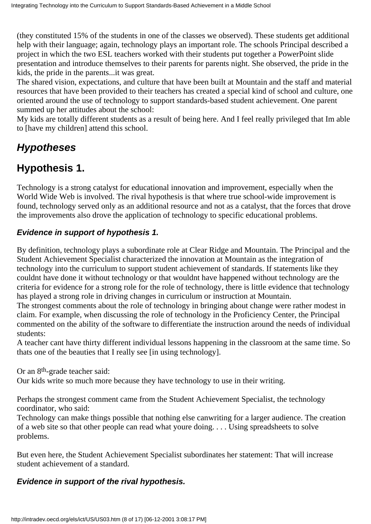(they constituted 15% of the students in one of the classes we observed). These students get additional help with their language; again, technology plays an important role. The school s Principal described a project in which the two ESL teachers worked with their students put together a PowerPoint slide presentation and introduce themselves to their parents for parents night. She observed, the pride in the kids, the pride in the parents...it was great.

The shared vision, expectations, and culture that have been built at Mountain and the staff and material resources that have been provided to their teachers has created a special kind of school and culture, one oriented around the use of technology to support standards-based student achievement. One parent summed up her attitudes about the school:

My kids are totally different students as a result of being here. And I feel really privileged that Im able to [have my children] attend this school.

## *Hypotheses*

## **Hypothesis 1.**

Technology is a strong catalyst for educational innovation and improvement, especially when the World Wide Web is involved. The rival hypothesis is that where true school-wide improvement is found, technology served only as an additional resource and not as a catalyst, that the forces that drove the improvements also drove the application of technology to specific educational problems.

### **Evidence in support of hypothesis 1.**

By definition, technology plays a subordinate role at Clear Ridge and Mountain. The Principal and the Student Achievement Specialist characterized the innovation at Mountain as the integration of technology into the curriculum to support student achievement of standards. If statements like they couldn t have done it without technology or that wouldn t have happened without technology are the criteria for evidence for a strong role for the role of technology, there is little evidence that technology has played a strong role in driving changes in curriculum or instruction at Mountain.

The strongest comments about the role of technology in bringing about change were rather modest in claim. For example, when discussing the role of technology in the Proficiency Center, the Principal commented on the ability of the software to differentiate the instruction around the needs of individual students:

A teacher cant have thirty different individual lessons happening in the classroom at the same time. So thats one of the beauties that I really see [in using technology].

Or an 8th-grade teacher said:

Our kids write so much more because they have technology to use in their writing.

Perhaps the strongest comment came from the Student Achievement Specialist, the technology coordinator, who said:

Technology can make things possible that nothing else canwriting for a larger audience. The creation of a web site so that other people can read what youre doing. . . . Using spreadsheets to solve problems.

But even here, the Student Achievement Specialist subordinates her statement: That will increase student achievement of a standard.

### **Evidence in support of the rival hypothesis.**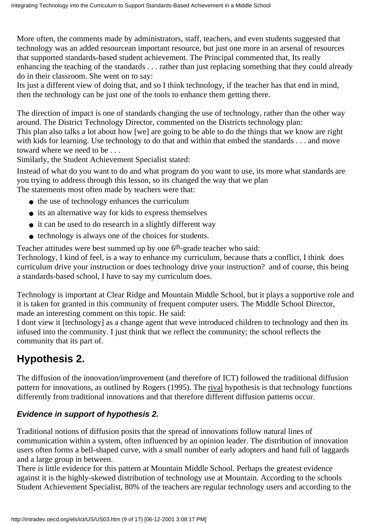More often, the comments made by administrators, staff, teachers, and even students suggested that technology was an added resource an important resource, but just one more in an arsenal of resources that supported standards-based student achievement. The Principal commented that, It s really enhancing the teaching of the standards . . . rather than just replacing something that they could already do in their classroom. She went on to say:

It s just a different view of doing that, and so I think technology, if the teacher has that end in mind, then the technology can be just one of the tools to enhance them getting there.

The direction of impact is one of standards changing the use of technology, rather than the other way around. The District Technology Director, commented on the District s technology plan: This plan also talks a lot about how [we] are going to be able to do the things that we know are right with kids for learning. Use technology to do that and within that embed the standards . . . and move toward where we need to be . . .

Similarly, the Student Achievement Specialist stated:

Instead of what do you want to do and what program do you want to use, it is more what standards are you trying to address through this lesson, so it s changed the way that we plan The statements most often made by teachers were that:

- the use of technology enhances the curriculum
- it s an alternative way for kids to express themselves
- it can be used to do research in a slightly different way
- technology is always one of the choices for students.

Teacher attitudes were best summed up by one 6<sup>th</sup>-grade teacher who said:

Technology, I kind of feel, is a way to enhance my curriculum, because that s a conflict, I think does curriculum drive your instruction or does technology drive your instruction? and of course, this being a standards-based school, I have to say my curriculum does.

Technology is important at Clear Ridge and Mountain Middle School, but it plays a supportive role and it is taken for granted in this community of frequent computer users. The Middle School Director, made an interesting comment on this topic. He said:

I don t view it [technology] as a change agent that we ve introduced children to technology and then it s infused into the community. I just think that we reflect the community; the school reflects the community that it s part of.

## **Hypothesis 2.**

The diffusion of the innovation/improvement (and therefore of ICT) followed the traditional diffusion pattern for innovations, as outlined by Rogers (1995). The rival hypothesis is that technology functions differently from traditional innovations and that therefore different diffusion patterns occur.

### **Evidence in support of hypothesis 2.**

Traditional notions of diffusion posits that the spread of innovations follow natural lines of communication within a system, often influenced by an opinion leader. The distribution of innovation users often forms a bell-shaped curve, with a small number of early adopters and hand full of laggards and a large group in between.

There is little evidence for this pattern at Mountain Middle School. Perhaps the greatest evidence against it is the highly-skewed distribution of technology use at Mountain. According to the school s Student Achievement Specialist, 80% of the teachers are regular technology users and according to the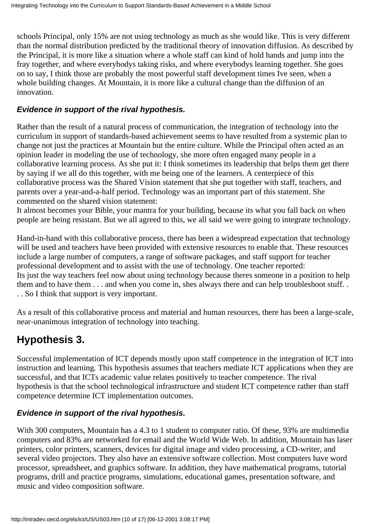schools Principal, only 15% are not using technology as much as she would like. This is very different than the normal distribution predicted by the traditional theory of innovation diffusion. As described by the Principal, it is more like a situation where a whole staff can kind of hold hands and jump into the fray together, and where everybodys taking risks, and where everybodys learning together. She goes on to say, I think those are probably the most powerful staff development times Ive seen, when a whole building changes. At Mountain, it is more like a cultural change than the diffusion of an innovation.

#### **Evidence in support of the rival hypothesis.**

Rather than the result of a natural process of communication, the integration of technology into the curriculum in support of standards-based achievement seems to have resulted from a systemic plan to change not just the practices at Mountain but the entire culture. While the Principal often acted as an opinion leader in modeling the use of technology, she more often engaged many people in a collaborative learning process. As she put it: I think sometimes its leadership that helps them get there by saying if we all do this together, with me being one of the learners. A centerpiece of this collaborative process was the Shared Vision statement that she put together with staff, teachers, and parents over a year-and-a-half period. Technology was an important part of this statement. She commented on the shared vision statement:

It almost becomes your Bible, your mantra for your building, because it s what you fall back on when people are being resistant. But we all agreed to this, we all said we were going to integrate technology.

Hand-in-hand with this collaborative process, there has been a widespread expectation that technology will be used and teachers have been provided with extensive resources to enable that. These resources include a large number of computers, a range of software packages, and staff support for teacher professional development and to assist with the use of technology. One teacher reported: It s just the way teachers feel now about using technology because there s someone in a position to help them and to have them . . . and when you come in, shes always there and can help troubleshoot stuff. . . . So I think that support is very important.

As a result of this collaborative process and material and human resources, there has been a large-scale, near-unanimous integration of technology into teaching.

## **Hypothesis 3.**

Successful implementation of ICT depends mostly upon staff competence in the integration of ICT into instruction and learning. This hypothesis assumes that teachers mediate ICT applications when they are successful, and that ICT s academic value relates positively to teacher competence. The rival hypothesis is that the school technological infrastructure and student ICT competence rather than staff competence determine ICT implementation outcomes.

### **Evidence in support of the rival hypothesis.**

With 300 computers, Mountain has a 4.3 to 1 student to computer ratio. Of these, 93% are multimedia computers and 83% are networked for email and the World Wide Web. In addition, Mountain has laser printers, color printers, scanners, devices for digital image and video processing, a CD-writer, and several video projectors. They also have an extensive software collection. Most computers have word processor, spreadsheet, and graphics software. In addition, they have mathematical programs, tutorial programs, drill and practice programs, simulations, educational games, presentation software, and music and video composition software.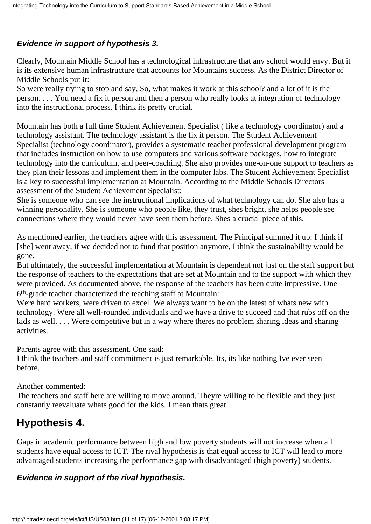### **Evidence in support of hypothesis 3.**

Clearly, Mountain Middle School has a technological infrastructure that any school would envy. But it is its extensive human infrastructure that accounts for Mountain s success. As the District Director of Middle Schools put it:

So we re really trying to stop and say, So, what makes it work at this school? and a lot of it is the person. . . . You need a fix it person and then a person who really looks at integration of technology into the instructional process. I think it s pretty crucial.

Mountain has both a full time Student Achievement Specialist ( like a technology coordinator) and a technology assistant. The technology assistant is the fix it person. The Student Achievement Specialist (technology coordinator), provides a systematic teacher professional development program that includes instruction on how to use computers and various software packages, how to integrate technology into the curriculum, and peer-coaching. She also provides one-on-one support to teachers as they plan their lessons and implement them in the computer labs. The Student Achievement Specialist is a key to successful implementation at Mountain. According to the Middle Schools Directors assessment of the Student Achievement Specialist:

She is someone who can see the instructional implications of what technology can do. She also has a winning personality. She is someone who people like, they trust, she s bright, she helps people see connections where they would never have seen them before. Shes a crucial piece of this.

As mentioned earlier, the teachers agree with this assessment. The Principal summed it up: I think if [she] went away, if we decided not to fund that position anymore, I think the sustainability would be gone.

But ultimately, the successful implementation at Mountain is dependent not just on the staff support but the response of teachers to the expectations that are set at Mountain and to the support with which they were provided. As documented above, the response of the teachers has been quite impressive. One 6th-grade teacher characterized the teaching staff at Mountain:

We re hard workers, we re driven to excel. We always want to be on the latest of what s new with technology. Were all well-rounded individuals and we have a drive to succeed and that rubs off on the kids as well. . . . We re competitive but in a way where there s no problem sharing ideas and sharing activities.

Parents agree with this assessment. One said:

I think the teachers and staff commitment is just remarkable. It s, it s like nothing I ve ever seen before.

Another commented:

The teachers and staff here are willing to move around. They re willing to be flexible and they just constantly reevaluate what s good for the kids. I mean that s great.

## **Hypothesis 4.**

Gaps in academic performance between high and low poverty students will not increase when all students have equal access to ICT. The rival hypothesis is that equal access to ICT will lead to more advantaged students increasing the performance gap with disadvantaged (high poverty) students.

#### **Evidence in support of the rival hypothesis.**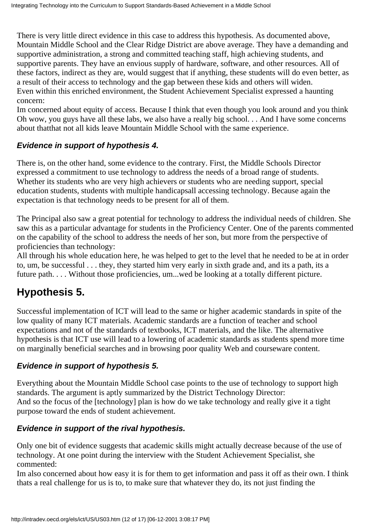There is very little direct evidence in this case to address this hypothesis. As documented above, Mountain Middle School and the Clear Ridge District are above average. They have a demanding and supportive administration, a strong and committed teaching staff, high achieving students, and supportive parents. They have an envious supply of hardware, software, and other resources. All of these factors, indirect as they are, would suggest that if anything, these students will do even better, as a result of their access to technology and the gap between these kids and others will widen. Even within this enriched environment, the Student Achievement Specialist expressed a haunting concern:

Im concerned about equity of access. Because I think that even though you look around and you think Oh wow, you guys have all these labs, we also have a really big school. . . And I have some concerns about that that not all kids leave Mountain Middle School with the same experience.

### **Evidence in support of hypothesis 4.**

There is, on the other hand, some evidence to the contrary. First, the Middle Schools Director expressed a commitment to use technology to address the needs of a broad range of students. Whether it s students who are very high achievers or students who are needing support, special education students, students with multiple handicapsall accessing technology. Because again the expectation is that technology needs to be present for all of them.

The Principal also saw a great potential for technology to address the individual needs of children. She saw this as a particular advantage for students in the Proficiency Center. One of the parents commented on the capability of the school to address the needs of her son, but more from the perspective of proficiencies than technology:

All through his whole education here, he was helped to get to the level that he needed to be at in order to, um, be successful  $\ldots$  they, they started him very early in sixth grade and, and it s a path, it s a future path. . . . Without those proficiencies, um...we d be looking at a totally different picture.

## **Hypothesis 5.**

Successful implementation of ICT will lead to the same or higher academic standards in spite of the low quality of many ICT materials. Academic standards are a function of teacher and school expectations and not of the standards of textbooks, ICT materials, and the like. The alternative hypothesis is that ICT use will lead to a lowering of academic standards as students spend more time on marginally beneficial searches and in browsing poor quality Web and courseware content.

### **Evidence in support of hypothesis 5.**

Everything about the Mountain Middle School case points to the use of technology to support high standards. The argument is aptly summarized by the District Technology Director: And so the focus of the [technology] plan is how do we take technology and really give it a tight purpose toward the ends of student achievement.

### **Evidence in support of the rival hypothesis.**

Only one bit of evidence suggests that academic skills might actually decrease because of the use of technology. At one point during the interview with the Student Achievement Specialist, she commented:

Im also concerned about how easy it is for them to get information and pass it off as their own. I think that s a real challenge for us is to, to make sure that whatever they do, it s not just finding the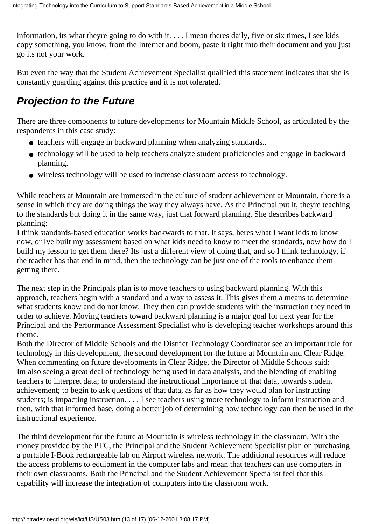information, it s what they re going to do with it.  $\dots$  I mean there s daily, five or six times, I see kids copy something, you know, from the Internet and boom, paste it right into their document and you just go its not your work.

But even the way that the Student Achievement Specialist qualified this statement indicates that she is constantly guarding against this practice and it is not tolerated.

## *Projection to the Future*

There are three components to future developments for Mountain Middle School, as articulated by the respondents in this case study:

- teachers will engage in backward planning when analyzing standards..
- technology will be used to help teachers analyze student proficiencies and engage in backward planning.
- wireless technology will be used to increase classroom access to technology.

While teachers at Mountain are immersed in the culture of student achievement at Mountain, there is a sense in which they are doing things the way they always have. As the Principal put it, they re teaching to the standards but doing it in the same way, just that forward planning. She describes backward planning:

I think standards-based education works backwards to that. It says, heres what I want kids to know now, or Ive built my assessment based on what kids need to know to meet the standards, now how do I build my lesson to get them there? It s just a different view of doing that, and so I think technology, if the teacher has that end in mind, then the technology can be just one of the tools to enhance them getting there.

The next step in the Principal s plan is to move teachers to using backward planning. With this approach, teachers begin with a standard and a way to assess it. This gives them a means to determine what students know and do not know. They then can provide students with the instruction they need in order to achieve. Moving teachers toward backward planning is a major goal for next year for the Principal and the Performance Assessment Specialist who is developing teacher workshops around this theme.

Both the Director of Middle Schools and the District Technology Coordinator see an important role for technology in this development, the second development for the future at Mountain and Clear Ridge. When commenting on future developments in Clear Ridge, the Director of Middle Schools said: Im also seeing a great deal of technology being used in data analysis, and the blending of enabling teachers to interpret data; to understand the instructional importance of that data, towards student achievement; to begin to ask questions of that data, as far as how they would plan for instructing students; is impacting instruction. . . . I see teachers using more technology to inform instruction and then, with that informed base, doing a better job of determining how technology can then be used in the instructional experience.

The third development for the future at Mountain is wireless technology in the classroom. With the money provided by the PTC, the Principal and the Student Achievement Specialist plan on purchasing a portable I-Book rechargeable lab on Airport wireless network. The additional resources will reduce the access problems to equipment in the computer labs and mean that teachers can use computers in their own classrooms. Both the Principal and the Student Achievement Specialist feel that this capability will increase the integration of computers into the classroom work.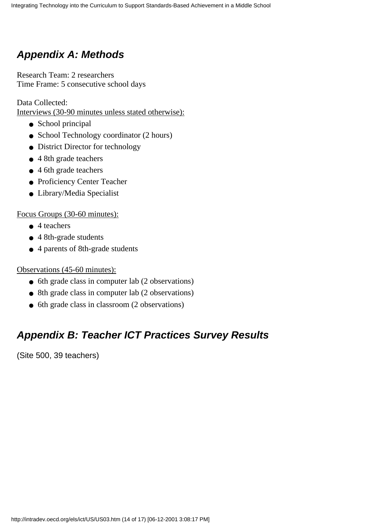## *Appendix A: Methods*

Research Team: 2 researchers Time Frame: 5 consecutive school days

Data Collected: Interviews (30-90 minutes unless stated otherwise):

- School principal
- School Technology coordinator (2 hours)
- District Director for technology
- 4 8th grade teachers
- 4 6th grade teachers
- Proficiency Center Teacher
- Library/Media Specialist

Focus Groups (30-60 minutes):

- 4 teachers
- 4 8th-grade students
- 4 parents of 8th-grade students

Observations (45-60 minutes):

- 6th grade class in computer lab (2 observations)
- 8th grade class in computer lab (2 observations)
- 6th grade class in classroom (2 observations)

## *Appendix B: Teacher ICT Practices Survey Results*

(Site 500, 39 teachers)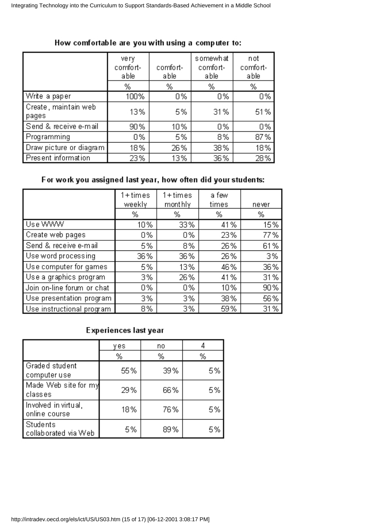|                                | very<br>comfort-<br>able | comfort-<br>able | somewhat<br>comfort-<br>able | not<br>comfort-<br>able |
|--------------------------------|--------------------------|------------------|------------------------------|-------------------------|
|                                | %                        | %                | %                            | %                       |
| Write a paper                  | 100%                     | 0%               | 0%                           | 0%                      |
| Create , maintain web<br>pages | 13%                      | 5%               | 31%                          | 51%                     |
| Send & receive e-mail          | 90%                      | 10%              | 0%                           | 0%                      |
| Programming                    | 0%                       | 5%               | 8%                           | 87%                     |
| Draw picture or diagram        | 18%                      | 26%              | 38%                          | 18%                     |
| Present information            | 23%                      | 13%              | 36%                          | 28%                     |

#### How comfortable are you with using a computer to:

#### For work you assigned last year, how often did your students:

|                            | $1 + times$<br>weekly | 1+times<br>mont hly | a few<br>times | never |
|----------------------------|-----------------------|---------------------|----------------|-------|
|                            | %                     | %                   | %              | %     |
| Use WWW                    | 10%                   | 33%                 | 41%            | 15%   |
| Create web pages           | 0%                    | 0%                  | 23%            | 77%   |
| Send & receive e-mail      | 5%                    | 8%                  | 26%            | 61%   |
| Use word processing        | 36%                   | 36%                 | 26%            | 3%    |
| Use computer for games     | 5%                    | 13%                 | 46%            | 36%   |
| Use a graphics program     | 3%                    | 26%                 | 41%            | 31%   |
| Join on-line forum or chat | 0%                    | 0%                  | 10%            | 90%   |
| Use presentation program   | 3%                    | 3%                  | 38%            | 56%   |
| Use instructional program  | 8%                    | 3%                  | 59%            | 31%   |

#### Experiences last year

|                                       | γes | no  |    |
|---------------------------------------|-----|-----|----|
|                                       | %   | %   | %  |
| Graded student<br>computer use        | 55% | 39% | 5% |
| Made Web site for my<br>l classes.    | 29% | 66% | 5% |
| Involved in virtual,<br>online course | 18% | 76% | 5% |
| Students<br>collaborated via Web      | 5%  | 89% | 5% |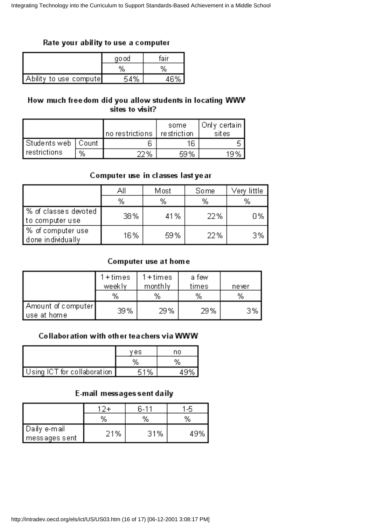#### Rate your ability to use a computer

|                        | go od | fair |
|------------------------|-------|------|
|                        | %     | %    |
| Ability to use compute | 54%   | 46%  |

#### How much freedom did you allow students in locating WWW sites to visit?

|                      |   | no restrictions | some<br>restriction | Onlγ certain  <br>sites |
|----------------------|---|-----------------|---------------------|-------------------------|
| Students web   Count |   |                 | 16                  |                         |
| restrictions         | % | 7%              | 59%                 | 19%                     |

#### Computer use in classes last year

|                                         | Αll | Most | Some | Very little |
|-----------------------------------------|-----|------|------|-------------|
|                                         | %   | %    | %    | %           |
| % of classes devoted<br>to computer use | 38% | 41%  | 22%  | 0%          |
| ∣% of computer use<br>done individually | 16% | 59%  | 22%  | 3%          |

#### Computer use at home

|                                    | $1 + times$<br>weekly<br>% | 1+times<br>monthly<br>% | a few<br>times<br>% | never<br>% |
|------------------------------------|----------------------------|-------------------------|---------------------|------------|
| Amount of computer<br>∣use at home | 39%                        | 29%                     | 29%                 | 3%         |

#### Collaboration with other teachers via WWW

|                                 | ves | no |
|---------------------------------|-----|----|
|                                 |     | %  |
| ┃ Using ICT for collaboration ┃ | 51% |    |

### E-mail messages sent daily

|                                 |     | հ-11 |     |
|---------------------------------|-----|------|-----|
|                                 | %   | %    | %   |
| Daily e-mail<br>  messages sent | 21% | 31%  | 49% |